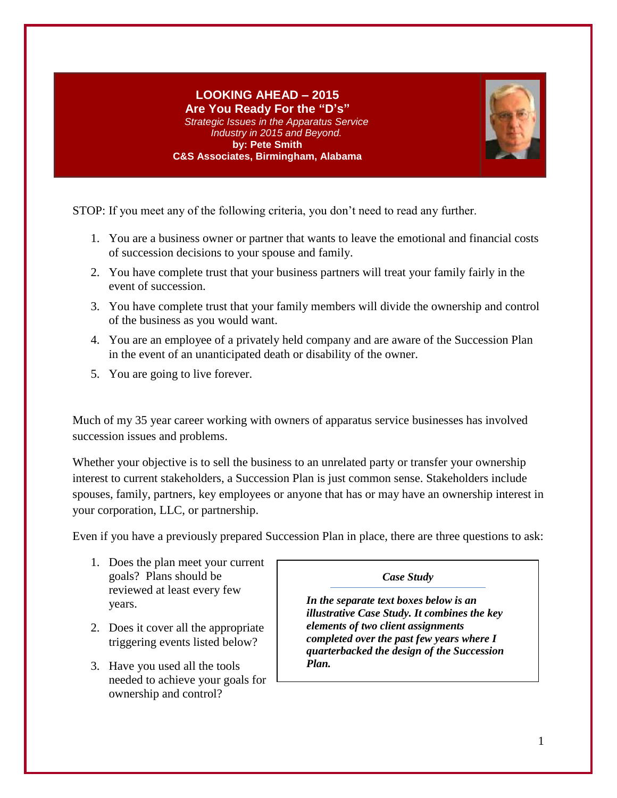#### **LOOKING AHEAD – 2015 Are You Ready For the "D's"** *Strategic Issues in the Apparatus Service Industry in 2015 and Beyond.* **by: Pete Smith C&S Associates, Birmingham, Alabama**



STOP: If you meet any of the following criteria, you don't need to read any further.

- 1. You are a business owner or partner that wants to leave the emotional and financial costs of succession decisions to your spouse and family.
- 2. You have complete trust that your business partners will treat your family fairly in the event of succession.
- 3. You have complete trust that your family members will divide the ownership and control of the business as you would want.
- 4. You are an employee of a privately held company and are aware of the Succession Plan in the event of an unanticipated death or disability of the owner.
- 5. You are going to live forever.

Much of my 35 year career working with owners of apparatus service businesses has involved succession issues and problems.

Whether your objective is to sell the business to an unrelated party or transfer your ownership interest to current stakeholders, a Succession Plan is just common sense. Stakeholders include spouses, family, partners, key employees or anyone that has or may have an ownership interest in your corporation, LLC, or partnership.

Even if you have a previously prepared Succession Plan in place, there are three questions to ask:

- 1. Does the plan meet your current goals? Plans should be reviewed at least every few years.
- 2. Does it cover all the appropriate triggering events listed below?
- 3. Have you used all the tools needed to achieve your goals for ownership and control?

*Case Study*

*In the separate text boxes below is an illustrative Case Study. It combines the key elements of two client assignments completed over the past few years where I quarterbacked the design of the Succession Plan.*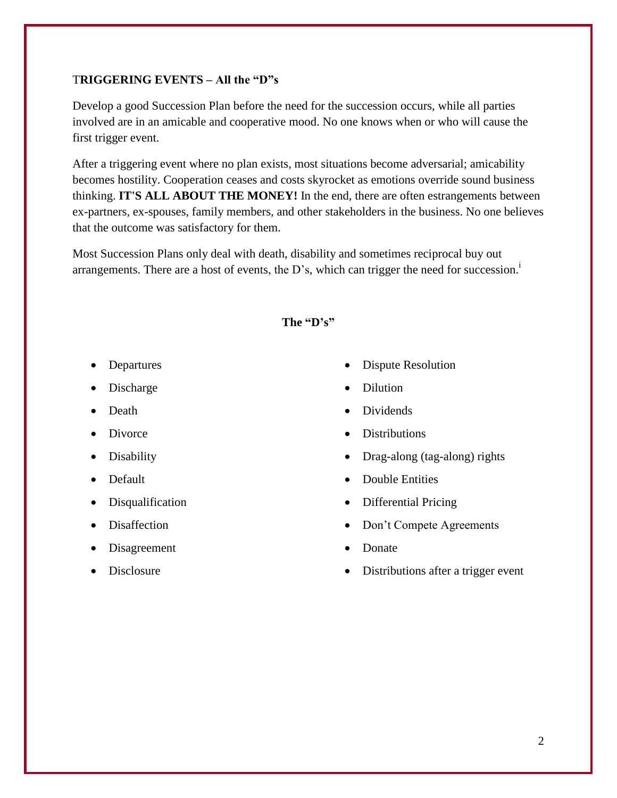# T**RIGGERING EVENTS – All the "D"s**

Develop a good Succession Plan before the need for the succession occurs, while all parties involved are in an amicable and cooperative mood. No one knows when or who will cause the first trigger event.

After a triggering event where no plan exists, most situations become adversarial; amicability becomes hostility. Cooperation ceases and costs skyrocket as emotions override sound business thinking. **IT'S ALL ABOUT THE MONEY!** In the end, there are often estrangements between ex-partners, ex-spouses, family members, and other stakeholders in the business. No one believes that the outcome was satisfactory for them.

Most Succession Plans only deal with death, disability and sometimes reciprocal buy out arrangements. There are a host of events, the  $D$ 's, which can trigger the need for succession.<sup>1</sup>

# **The "D's"**

- Departures
- Discharge
- Death
- Divorce
- Disability
- Default
- Disqualification
- Disaffection
- Disagreement
- Disclosure
- Dispute Resolution
- Dilution
- Dividends
- **Distributions**
- Drag-along (tag-along) rights
- Double Entities
- Differential Pricing
- Don't Compete Agreements
- Donate
- Distributions after a trigger event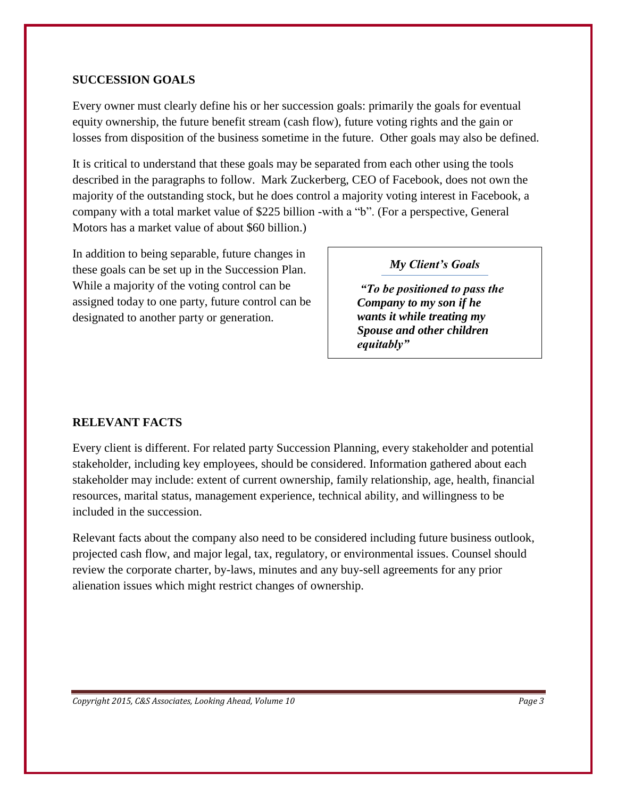# **SUCCESSION GOALS**

Every owner must clearly define his or her succession goals: primarily the goals for eventual equity ownership, the future benefit stream (cash flow), future voting rights and the gain or losses from disposition of the business sometime in the future. Other goals may also be defined.

It is critical to understand that these goals may be separated from each other using the tools described in the paragraphs to follow. Mark Zuckerberg, CEO of Facebook, does not own the majority of the outstanding stock, but he does control a majority voting interest in Facebook, a company with a total market value of \$225 billion -with a "b". (For a perspective, General Motors has a market value of about \$60 billion.)

In addition to being separable, future changes in these goals can be set up in the Succession Plan. While a majority of the voting control can be assigned today to one party, future control can be designated to another party or generation.

# *My Client's Goals*

*"To be positioned to pass the Company to my son if he wants it while treating my Spouse and other children equitably"*

# **RELEVANT FACTS**

Every client is different. For related party Succession Planning, every stakeholder and potential stakeholder, including key employees, should be considered. Information gathered about each stakeholder may include: extent of current ownership, family relationship, age, health, financial resources, marital status, management experience, technical ability, and willingness to be included in the succession.

Relevant facts about the company also need to be considered including future business outlook, projected cash flow, and major legal, tax, regulatory, or environmental issues. Counsel should review the corporate charter, by-laws, minutes and any buy-sell agreements for any prior alienation issues which might restrict changes of ownership.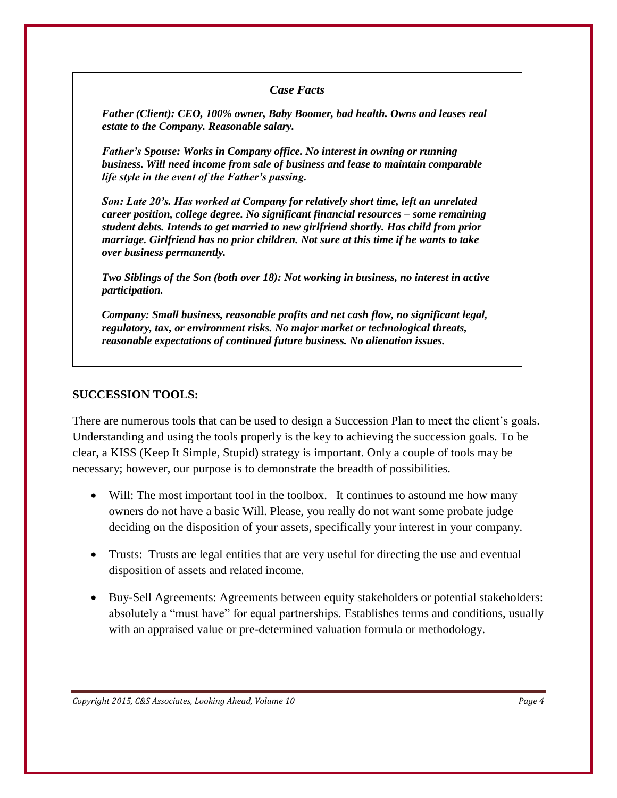# *Case Facts*

*Father (Client): CEO, 100% owner, Baby Boomer, bad health. Owns and leases real estate to the Company. Reasonable salary.* 

*Father's Spouse: Works in Company office. No interest in owning or running business. Will need income from sale of business and lease to maintain comparable life style in the event of the Father's passing.*

*Son: Late 20's. Has worked at Company for relatively short time, left an unrelated career position, college degree. No significant financial resources – some remaining student debts. Intends to get married to new girlfriend shortly. Has child from prior marriage. Girlfriend has no prior children. Not sure at this time if he wants to take over business permanently.*

*Two Siblings of the Son (both over 18): Not working in business, no interest in active participation.*

*Company: Small business, reasonable profits and net cash flow, no significant legal, regulatory, tax, or environment risks. No major market or technological threats, reasonable expectations of continued future business. No alienation issues.*

#### **SUCCESSION TOOLS:**

There are numerous tools that can be used to design a Succession Plan to meet the client's goals. Understanding and using the tools properly is the key to achieving the succession goals. To be clear, a KISS (Keep It Simple, Stupid) strategy is important. Only a couple of tools may be necessary; however, our purpose is to demonstrate the breadth of possibilities.

- Will: The most important tool in the toolbox. It continues to astound me how many owners do not have a basic Will. Please, you really do not want some probate judge deciding on the disposition of your assets, specifically your interest in your company.
- Trusts: Trusts are legal entities that are very useful for directing the use and eventual disposition of assets and related income.
- Buy-Sell Agreements: Agreements between equity stakeholders or potential stakeholders: absolutely a "must have" for equal partnerships. Establishes terms and conditions, usually with an appraised value or pre-determined valuation formula or methodology.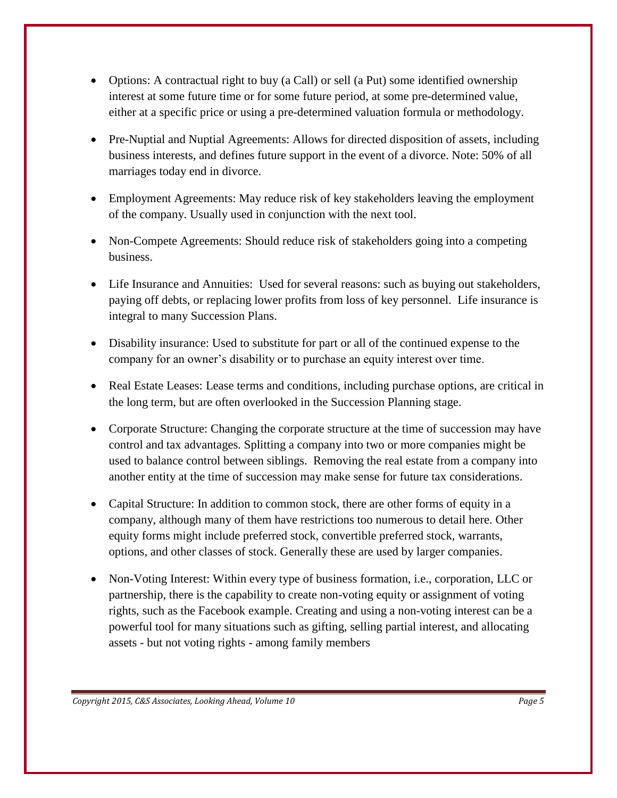- Options: A contractual right to buy (a Call) or sell (a Put) some identified ownership interest at some future time or for some future period, at some pre-determined value, either at a specific price or using a pre-determined valuation formula or methodology.
- Pre-Nuptial and Nuptial Agreements: Allows for directed disposition of assets, including business interests, and defines future support in the event of a divorce. Note: 50% of all marriages today end in divorce.
- Employment Agreements: May reduce risk of key stakeholders leaving the employment of the company. Usually used in conjunction with the next tool.
- Non-Compete Agreements: Should reduce risk of stakeholders going into a competing business.
- Life Insurance and Annuities: Used for several reasons: such as buying out stakeholders, paying off debts, or replacing lower profits from loss of key personnel. Life insurance is integral to many Succession Plans.
- Disability insurance: Used to substitute for part or all of the continued expense to the company for an owner's disability or to purchase an equity interest over time.
- Real Estate Leases: Lease terms and conditions, including purchase options, are critical in the long term, but are often overlooked in the Succession Planning stage.
- Corporate Structure: Changing the corporate structure at the time of succession may have control and tax advantages. Splitting a company into two or more companies might be used to balance control between siblings. Removing the real estate from a company into another entity at the time of succession may make sense for future tax considerations.
- Capital Structure: In addition to common stock, there are other forms of equity in a company, although many of them have restrictions too numerous to detail here. Other equity forms might include preferred stock, convertible preferred stock, warrants, options, and other classes of stock. Generally these are used by larger companies.
- Non-Voting Interest: Within every type of business formation, i.e., corporation, LLC or partnership, there is the capability to create non-voting equity or assignment of voting rights, such as the Facebook example. Creating and using a non-voting interest can be a powerful tool for many situations such as gifting, selling partial interest, and allocating assets - but not voting rights - among family members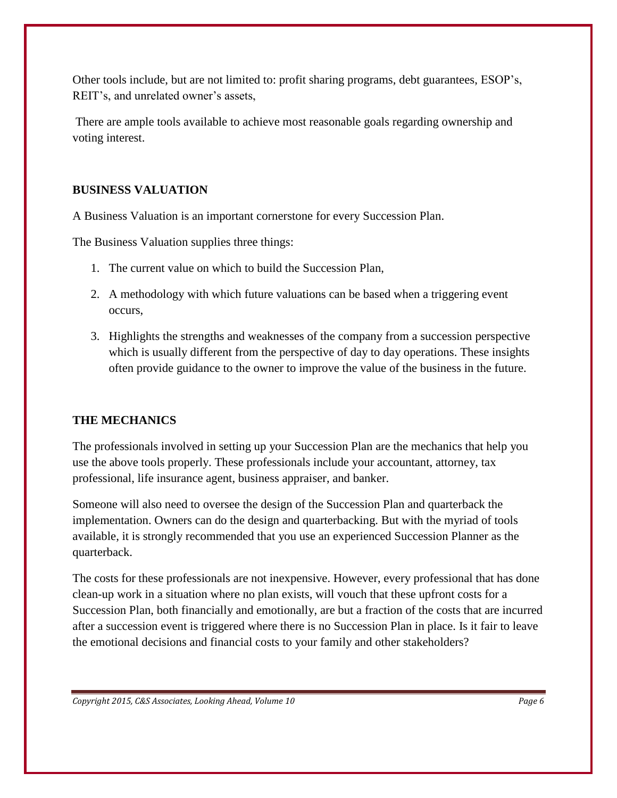Other tools include, but are not limited to: profit sharing programs, debt guarantees, ESOP's, REIT's, and unrelated owner's assets,

There are ample tools available to achieve most reasonable goals regarding ownership and voting interest.

# **BUSINESS VALUATION**

A Business Valuation is an important cornerstone for every Succession Plan.

The Business Valuation supplies three things:

- 1. The current value on which to build the Succession Plan,
- 2. A methodology with which future valuations can be based when a triggering event occurs,
- 3. Highlights the strengths and weaknesses of the company from a succession perspective which is usually different from the perspective of day to day operations. These insights often provide guidance to the owner to improve the value of the business in the future.

# **THE MECHANICS**

The professionals involved in setting up your Succession Plan are the mechanics that help you use the above tools properly. These professionals include your accountant, attorney, tax professional, life insurance agent, business appraiser, and banker.

Someone will also need to oversee the design of the Succession Plan and quarterback the implementation. Owners can do the design and quarterbacking. But with the myriad of tools available, it is strongly recommended that you use an experienced Succession Planner as the quarterback.

The costs for these professionals are not inexpensive. However, every professional that has done clean-up work in a situation where no plan exists, will vouch that these upfront costs for a Succession Plan, both financially and emotionally, are but a fraction of the costs that are incurred after a succession event is triggered where there is no Succession Plan in place. Is it fair to leave the emotional decisions and financial costs to your family and other stakeholders?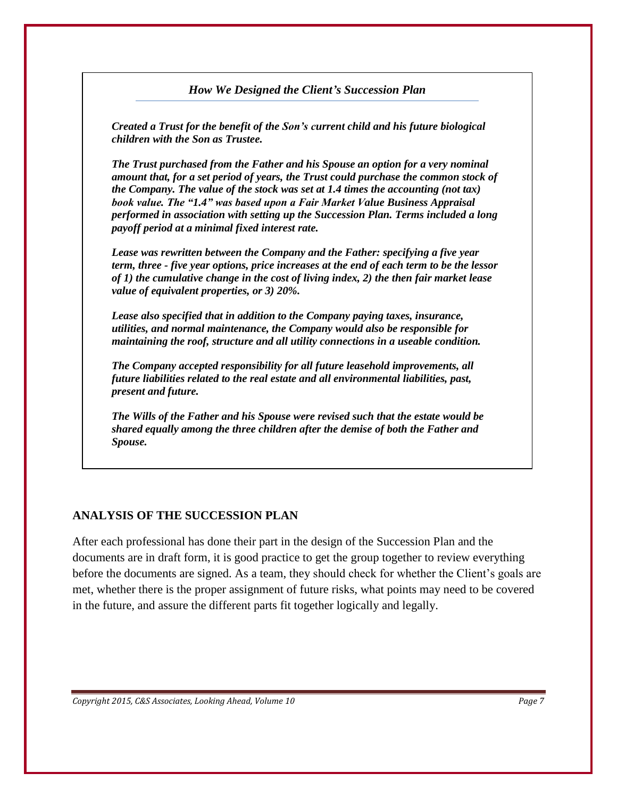#### *How We Designed the Client's Succession Plan*

*Created a Trust for the benefit of the Son's current child and his future biological children with the Son as Trustee.*

*The Trust purchased from the Father and his Spouse an option for a very nominal amount that, for a set period of years, the Trust could purchase the common stock of the Company. The value of the stock was set at 1.4 times the accounting (not tax) book value. The "1.4" was based upon a Fair Market Value Business Appraisal performed in association with setting up the Succession Plan. Terms included a long payoff period at a minimal fixed interest rate.*

*Lease was rewritten between the Company and the Father: specifying a five year term, three - five year options, price increases at the end of each term to be the lessor of 1) the cumulative change in the cost of living index, 2) the then fair market lease value of equivalent properties, or 3) 20%.* 

*Lease also specified that in addition to the Company paying taxes, insurance, utilities, and normal maintenance, the Company would also be responsible for maintaining the roof, structure and all utility connections in a useable condition.* 

*The Company accepted responsibility for all future leasehold improvements, all future liabilities related to the real estate and all environmental liabilities, past, present and future.*

*The Wills of the Father and his Spouse were revised such that the estate would be shared equally among the three children after the demise of both the Father and Spouse.*

# **ANALYSIS OF THE SUCCESSION PLAN**

After each professional has done their part in the design of the Succession Plan and the documents are in draft form, it is good practice to get the group together to review everything before the documents are signed. As a team, they should check for whether the Client's goals are met, whether there is the proper assignment of future risks, what points may need to be covered in the future, and assure the different parts fit together logically and legally.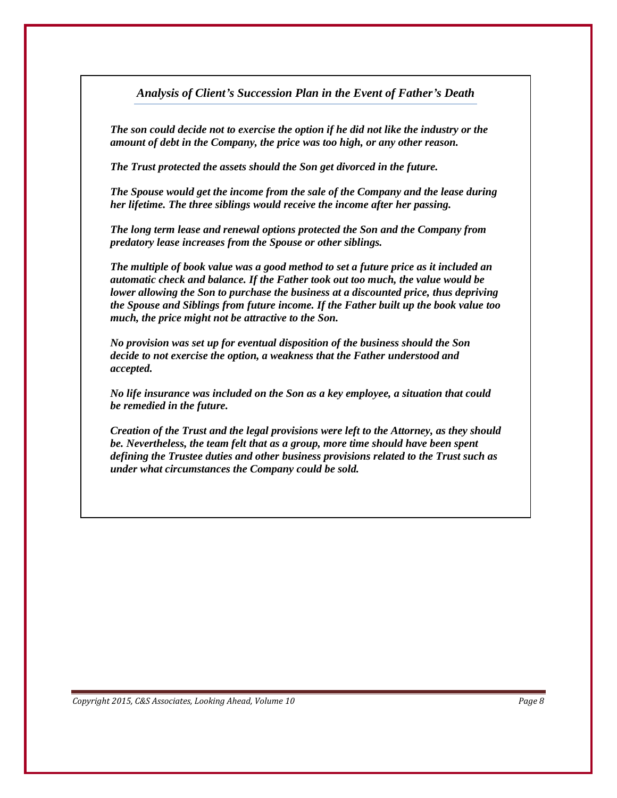### *Analysis of Client's Succession Plan in the Event of Father's Death*

*The son could decide not to exercise the option if he did not like the industry or the amount of debt in the Company, the price was too high, or any other reason.*

*The Trust protected the assets should the Son get divorced in the future.* 

*The Spouse would get the income from the sale of the Company and the lease during her lifetime. The three siblings would receive the income after her passing.*

*The long term lease and renewal options protected the Son and the Company from predatory lease increases from the Spouse or other siblings.* 

*The multiple of book value was a good method to set a future price as it included an automatic check and balance. If the Father took out too much, the value would be lower allowing the Son to purchase the business at a discounted price, thus depriving the Spouse and Siblings from future income. If the Father built up the book value too much, the price might not be attractive to the Son.* 

*No provision was set up for eventual disposition of the business should the Son decide to not exercise the option, a weakness that the Father understood and accepted.*

*No life insurance was included on the Son as a key employee, a situation that could be remedied in the future.*

*Creation of the Trust and the legal provisions were left to the Attorney, as they should be. Nevertheless, the team felt that as a group, more time should have been spent defining the Trustee duties and other business provisions related to the Trust such as under what circumstances the Company could be sold.*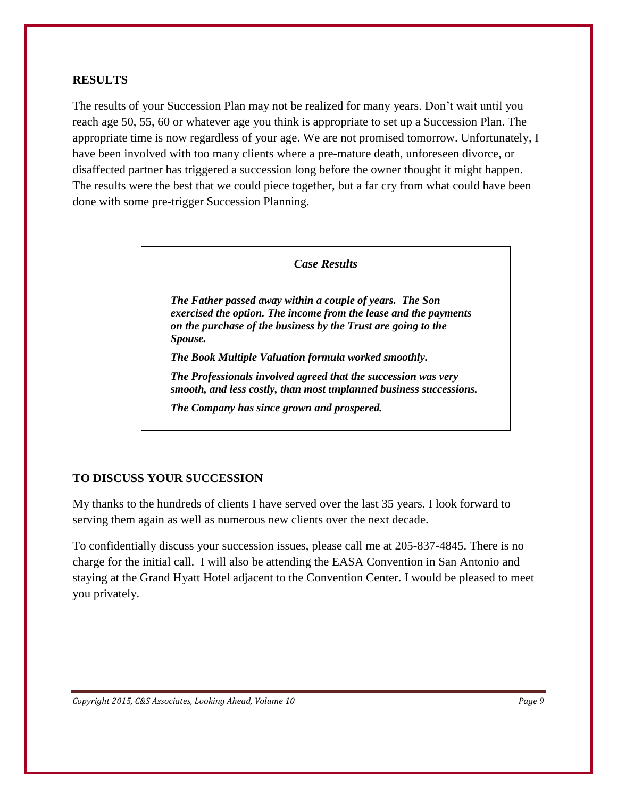# **RESULTS**

The results of your Succession Plan may not be realized for many years. Don't wait until you reach age 50, 55, 60 or whatever age you think is appropriate to set up a Succession Plan. The appropriate time is now regardless of your age. We are not promised tomorrow. Unfortunately, I have been involved with too many clients where a pre-mature death, unforeseen divorce, or disaffected partner has triggered a succession long before the owner thought it might happen. The results were the best that we could piece together, but a far cry from what could have been done with some pre-trigger Succession Planning.

#### *Case Results*

*The Father passed away within a couple of years. The Son exercised the option. The income from the lease and the payments on the purchase of the business by the Trust are going to the Spouse.*

*The Book Multiple Valuation formula worked smoothly.*

*The Professionals involved agreed that the succession was very smooth, and less costly, than most unplanned business successions.* 

*The Company has since grown and prospered.*

# **TO DISCUSS YOUR SUCCESSION**

My thanks to the hundreds of clients I have served over the last 35 years. I look forward to serving them again as well as numerous new clients over the next decade.

To confidentially discuss your succession issues, please call me at 205-837-4845. There is no charge for the initial call. I will also be attending the EASA Convention in San Antonio and staying at the Grand Hyatt Hotel adjacent to the Convention Center. I would be pleased to meet you privately.